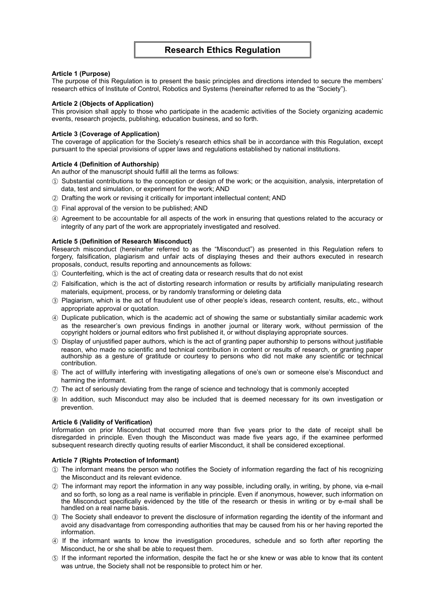## **Article 1 (Purpose)**

The purpose of this Regulation is to present the basic principles and directions intended to secure the members' research ethics of Institute of Control, Robotics and Systems (hereinafter referred to as the "Society").

# **Article 2 (Objects of Application)**

This provision shall apply to those who participate in the academic activities of the Society organizing academic events, research projects, publishing, education business, and so forth.

# **Article 3 (Coverage of Application)**

The coverage of application for the Society's research ethics shall be in accordance with this Regulation, except pursuant to the special provisions of upper laws and regulations established by national institutions.

# **Article 4 (Definition of Authorship)**

An author of the manuscript should fulfill all the terms as follows:

- ① Substantial contributions to the conception or design of the work; or the acquisition, analysis, interpretation of data, test and simulation, or experiment for the work; AND
- ② Drafting the work or revising it critically for important intellectual content; AND
- ③ Final approval of the version to be published; AND
- ④ Agreement to be accountable for all aspects of the work in ensuring that questions related to the accuracy or integrity of any part of the work are appropriately investigated and resolved.

# **Article 5 (Definition of Research Misconduct)**

Research misconduct (hereinafter referred to as the "Misconduct") as presented in this Regulation refers to forgery, falsification, plagiarism and unfair acts of displaying theses and their authors executed in research proposals, conduct, results reporting and announcements as follows:

- ① Counterfeiting, which is the act of creating data or research results that do not exist
- ② Falsification, which is the act of distorting research information or results by artificially manipulating research materials, equipment, process, or by randomly transforming or deleting data
- ③ Plagiarism, which is the act of fraudulent use of other people's ideas, research content, results, etc., without appropriate approval or quotation.
- ④ Duplicate publication, which is the academic act of showing the same or substantially similar academic work as the researcher's own previous findings in another journal or literary work, without permission of the copyright holders or journal editors who first published it, or without displaying appropriate sources.
- ⑤ Display of unjustified paper authors, which is the act of granting paper authorship to persons without justifiable reason, who made no scientific and technical contribution in content or results of research, or granting paper authorship as a gesture of gratitude or courtesy to persons who did not make any scientific or technical contribution.
- ⑥ The act of willfully interfering with investigating allegations of one's own or someone else's Misconduct and harming the informant.
- $(7)$  The act of seriously deviating from the range of science and technology that is commonly accepted
- ⑧ In addition, such Misconduct may also be included that is deemed necessary for its own investigation or prevention.

# **Article 6 (Validity of Verification)**

Information on prior Misconduct that occurred more than five years prior to the date of receipt shall be disregarded in principle. Even though the Misconduct was made five years ago, if the examinee performed subsequent research directly quoting results of earlier Misconduct, it shall be considered exceptional.

## **Article 7 (Rights Protection of Informant)**

- ① The informant means the person who notifies the Society of information regarding the fact of his recognizing the Misconduct and its relevant evidence.
- ② The informant may report the information in any way possible, including orally, in writing, by phone, via e-mail and so forth, so long as a real name is verifiable in principle. Even if anonymous, however, such information on the Misconduct specifically evidenced by the title of the research or thesis in writing or by e-mail shall be handled on a real name basis.
- ③ The Society shall endeavor to prevent the disclosure of information regarding the identity of the informant and avoid any disadvantage from corresponding authorities that may be caused from his or her having reported the information.
- ④ If the informant wants to know the investigation procedures, schedule and so forth after reporting the Misconduct, he or she shall be able to request them.
- ⑤ If the informant reported the information, despite the fact he or she knew or was able to know that its content was untrue, the Society shall not be responsible to protect him or her.